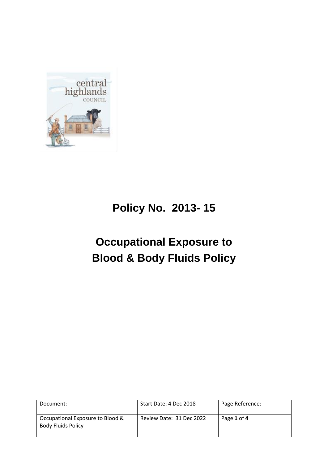

# **Policy No. 2013- 15**

# **Occupational Exposure to Blood & Body Fluids Policy**

| Document:                                                     | Start Date: 4 Dec 2018   | Page Reference: |
|---------------------------------------------------------------|--------------------------|-----------------|
| Occupational Exposure to Blood &<br><b>Body Fluids Policy</b> | Review Date: 31 Dec 2022 | Page 1 of 4     |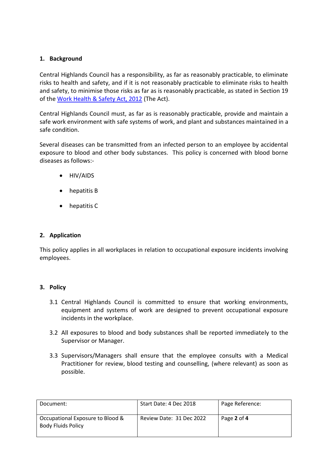#### **1. Background**

Central Highlands Council has a responsibility, as far as reasonably practicable, to eliminate risks to health and safety, and if it is not reasonably practicable to eliminate risks to health and safety, to minimise those risks as far as is reasonably practicable, as stated in Section 19 of the Work Health & Safety Act, 2012 (The Act).

Central Highlands Council must, as far as is reasonably practicable, provide and maintain a safe work environment with safe systems of work, and plant and substances maintained in a safe condition.

Several diseases can be transmitted from an infected person to an employee by accidental exposure to blood and other body substances. This policy is concerned with blood borne diseases as follows:-

- HIV/AIDS
- hepatitis B
- hepatitis C

## **2. Application**

This policy applies in all workplaces in relation to occupational exposure incidents involving employees.

#### **3. Policy**

- 3.1 Central Highlands Council is committed to ensure that working environments, equipment and systems of work are designed to prevent occupational exposure incidents in the workplace.
- 3.2 All exposures to blood and body substances shall be reported immediately to the Supervisor or Manager.
- 3.3 Supervisors/Managers shall ensure that the employee consults with a Medical Practitioner for review, blood testing and counselling, (where relevant) as soon as possible.

| Document:                                                     | Start Date: 4 Dec 2018   | Page Reference: |
|---------------------------------------------------------------|--------------------------|-----------------|
| Occupational Exposure to Blood &<br><b>Body Fluids Policy</b> | Review Date: 31 Dec 2022 | Page 2 of 4     |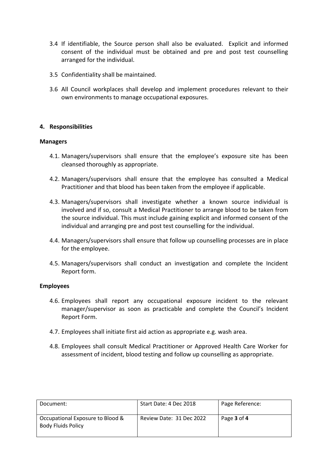- 3.4 If identifiable, the Source person shall also be evaluated. Explicit and informed consent of the individual must be obtained and pre and post test counselling arranged for the individual.
- 3.5 Confidentiality shall be maintained.
- 3.6 All Council workplaces shall develop and implement procedures relevant to their own environments to manage occupational exposures.

### **4. Responsibilities**

#### **Managers**

- 4.1. Managers/supervisors shall ensure that the employee's exposure site has been cleansed thoroughly as appropriate.
- 4.2. Managers/supervisors shall ensure that the employee has consulted a Medical Practitioner and that blood has been taken from the employee if applicable.
- 4.3. Managers/supervisors shall investigate whether a known source individual is involved and if so, consult a Medical Practitioner to arrange blood to be taken from the source individual. This must include gaining explicit and informed consent of the individual and arranging pre and post test counselling for the individual.
- 4.4. Managers/supervisors shall ensure that follow up counselling processes are in place for the employee.
- 4.5. Managers/supervisors shall conduct an investigation and complete the Incident Report form.

#### **Employees**

- 4.6. Employees shall report any occupational exposure incident to the relevant manager/supervisor as soon as practicable and complete the Council's Incident Report Form.
- 4.7. Employees shall initiate first aid action as appropriate e.g. wash area.
- 4.8. Employees shall consult Medical Practitioner or Approved Health Care Worker for assessment of incident, blood testing and follow up counselling as appropriate.

| Document:                                                     | Start Date: 4 Dec 2018   | Page Reference: |
|---------------------------------------------------------------|--------------------------|-----------------|
| Occupational Exposure to Blood &<br><b>Body Fluids Policy</b> | Review Date: 31 Dec 2022 | Page 3 of 4     |